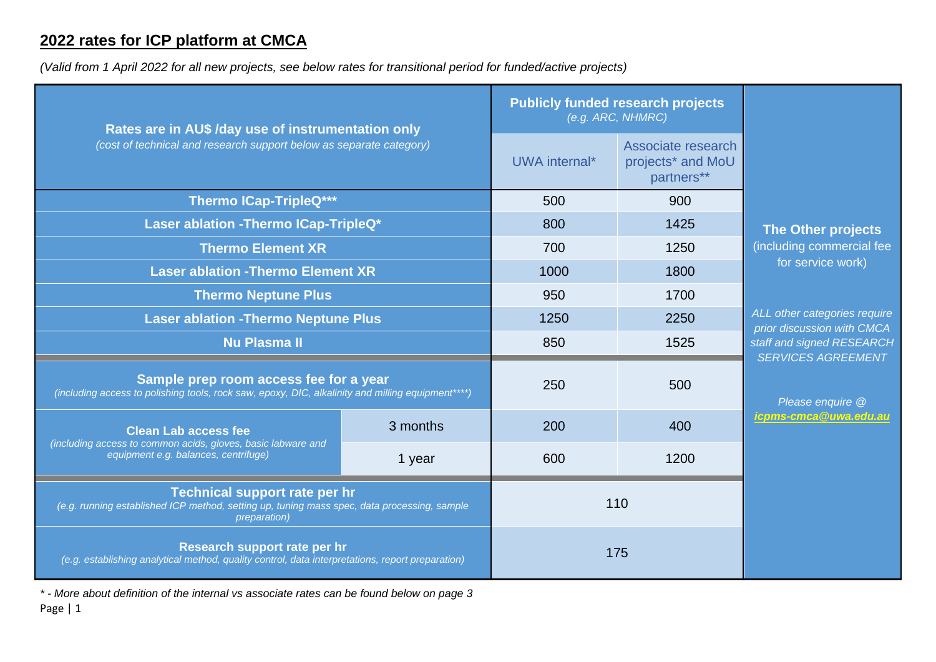## **2022 rates for ICP platform at CMCA**

*(Valid from 1 April 2022 for all new projects, see below rates for transitional period for funded/active projects)*

| Rates are in AU\$ /day use of instrumentation only<br>(cost of technical and research support below as separate category)                            |          | <b>Publicly funded research projects</b><br>(e.g. ARC, NHMRC) |                                                       |                                                            |
|------------------------------------------------------------------------------------------------------------------------------------------------------|----------|---------------------------------------------------------------|-------------------------------------------------------|------------------------------------------------------------|
|                                                                                                                                                      |          | UWA internal*                                                 | Associate research<br>projects* and MoU<br>partners** |                                                            |
| <b>Thermo ICap-TripleQ***</b>                                                                                                                        |          | 500                                                           | 900                                                   |                                                            |
| Laser ablation - Thermo ICap-TripleQ*                                                                                                                |          | 800                                                           | 1425                                                  | The Other projects                                         |
| <b>Thermo Element XR</b>                                                                                                                             |          | 700                                                           | 1250                                                  | (including commercial fee<br>for service work)             |
| <b>Laser ablation - Thermo Element XR</b>                                                                                                            |          | 1000                                                          | 1800                                                  |                                                            |
| <b>Thermo Neptune Plus</b>                                                                                                                           |          | 950                                                           | 1700                                                  |                                                            |
| <b>Laser ablation - Thermo Neptune Plus</b>                                                                                                          |          | 1250                                                          | 2250                                                  | ALL other categories require<br>prior discussion with CMCA |
| <b>Nu Plasma II</b>                                                                                                                                  |          | 850                                                           | 1525                                                  | staff and signed RESEARCH                                  |
| Sample prep room access fee for a year<br>(including access to polishing tools, rock saw, epoxy, DIC, alkalinity and milling equipment****)          |          | 250                                                           | 500                                                   | <b>SERVICES AGREEMENT</b><br>Please enquire @              |
| <b>Clean Lab access fee</b><br>(including access to common acids, gloves, basic labware and<br>equipment e.g. balances, centrifuge)                  | 3 months | 200                                                           | 400                                                   | icpms-cmca@uwa.edu.au                                      |
|                                                                                                                                                      | 1 year   | 600                                                           | 1200                                                  |                                                            |
| Technical support rate per hr<br>(e.g. running established ICP method, setting up, tuning mass spec, data processing, sample<br><i>preparation</i> ) |          | 110                                                           |                                                       |                                                            |
| Research support rate per hr<br>(e.g. establishing analytical method, quality control, data interpretations, report preparation)                     |          | 175                                                           |                                                       |                                                            |

*\* - More about definition of the internal vs associate rates can be found below on page 3*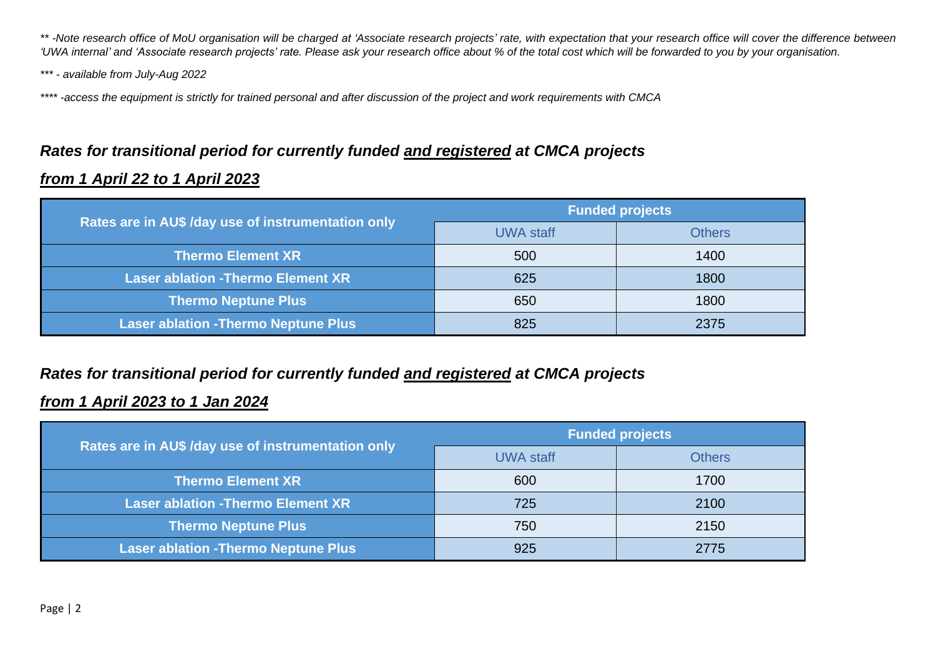*\*\* -Note research office of MoU organisation will be charged at 'Associate research projects' rate, with expectation that your research office will cover the difference between 'UWA internal' and 'Associate research projects' rate. Please ask your research office about % of the total cost which will be forwarded to you by your organisation.*

*\*\*\* - available from July-Aug 2022*

*\*\*\*\* -access the equipment is strictly for trained personal and after discussion of the project and work requirements with CMCA*

# *Rates for transitional period for currently funded and registered at CMCA projects*

#### *from 1 April 22 to 1 April 2023*

|                                                    | <b>Funded projects</b> |               |  |
|----------------------------------------------------|------------------------|---------------|--|
| Rates are in AU\$ /day use of instrumentation only | <b>UWA staff</b>       | <b>Others</b> |  |
| <b>Thermo Element XR</b>                           | 500                    | 1400          |  |
| <b>Laser ablation - Thermo Element XR</b>          | 625                    | 1800          |  |
| <b>Thermo Neptune Plus</b>                         | 650                    | 1800          |  |
| <b>Laser ablation - Thermo Neptune Plus</b>        | 825                    | 2375          |  |

### *Rates for transitional period for currently funded and registered at CMCA projects*

#### *from 1 April 2023 to 1 Jan 2024*

|                                                    | <b>Funded projects</b> |               |  |
|----------------------------------------------------|------------------------|---------------|--|
| Rates are in AU\$ /day use of instrumentation only | <b>UWA staff</b>       | <b>Others</b> |  |
| <b>Thermo Element XR</b>                           | 600                    | 1700          |  |
| <b>Laser ablation - Thermo Element XR</b>          | 725                    | 2100          |  |
| <b>Thermo Neptune Plus</b>                         | 750                    | 2150          |  |
| <b>Laser ablation - Thermo Neptune Plus</b>        | 925                    | 2775          |  |